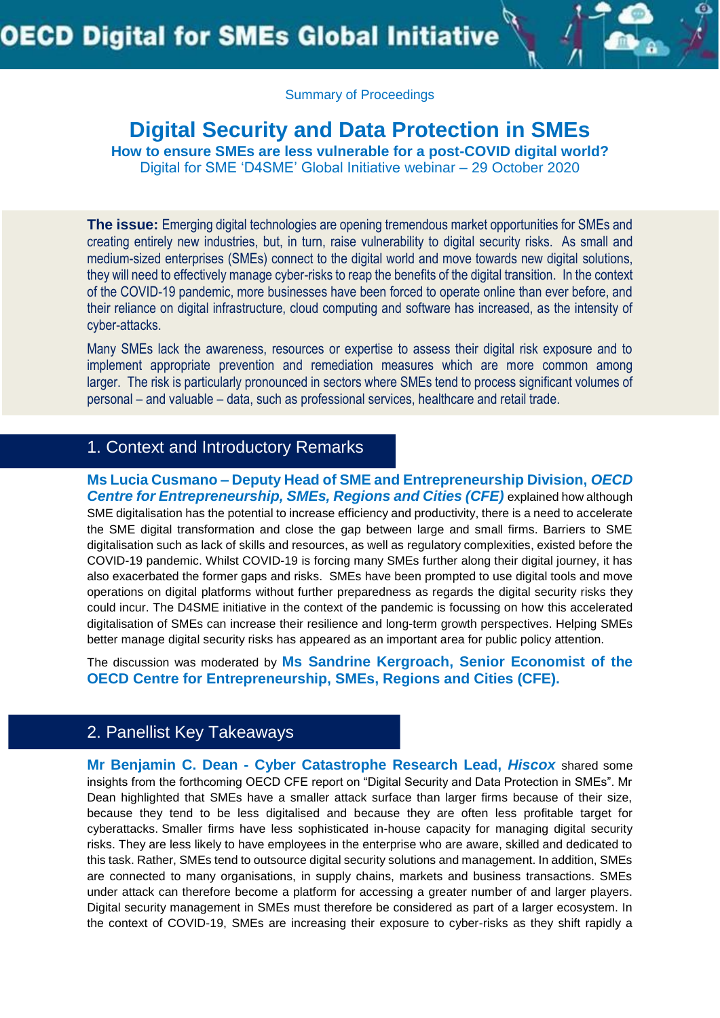

## **Digital Security and Data Protection in SMEs**

**How to ensure SMEs are less vulnerable for a post-COVID digital world?** Digital for SME 'D4SME' Global Initiative webinar – 29 October 2020

**The issue:** Emerging digital technologies are opening tremendous market opportunities for SMEs and creating entirely new industries, but, in turn, raise vulnerability to digital security risks. As small and medium-sized enterprises (SMEs) connect to the digital world and move towards new digital solutions, they will need to effectively manage cyber-risks to reap the benefits of the digital transition. In the context of the COVID-19 pandemic, more businesses have been forced to operate online than ever before, and their reliance on digital infrastructure, cloud computing and software has increased, as the intensity of cyber-attacks.

Many SMEs lack the awareness, resources or expertise to assess their digital risk exposure and to implement appropriate prevention and remediation measures which are more common among larger. The risk is particularly pronounced in sectors where SMEs tend to process significant volumes of personal – and valuable – data, such as professional services, healthcare and retail trade.

#### 1. Context and Introductory Remarks

**Ms Lucia Cusmano – Deputy Head of SME and Entrepreneurship Division,** *OECD Centre for Entrepreneurship, SMEs, Regions and Cities (CFE)* **explained how although** SME digitalisation has the potential to increase efficiency and productivity, there is a need to accelerate the SME digital transformation and close the gap between large and small firms. Barriers to SME digitalisation such as lack of skills and resources, as well as regulatory complexities, existed before the COVID-19 pandemic. Whilst COVID-19 is forcing many SMEs further along their digital journey, it has also exacerbated the former gaps and risks. SMEs have been prompted to use digital tools and move operations on digital platforms without further preparedness as regards the digital security risks they could incur. The D4SME initiative in the context of the pandemic is focussing on how this accelerated digitalisation of SMEs can increase their resilience and long-term growth perspectives. Helping SMEs better manage digital security risks has appeared as an important area for public policy attention.

The discussion was moderated by **Ms Sandrine Kergroach, Senior Economist of the OECD Centre for Entrepreneurship, SMEs, Regions and Cities (CFE).**

## 2. Panellist Key Takeaways

**Mr Benjamin C. Dean - Cyber Catastrophe Research Lead,** *Hiscox* shared some insights from the forthcoming OECD CFE report on "Digital Security and Data Protection in SMEs". Mr Dean highlighted that SMEs have a smaller attack surface than larger firms because of their size, because they tend to be less digitalised and because they are often less profitable target for cyberattacks. Smaller firms have less sophisticated in-house capacity for managing digital security risks. They are less likely to have employees in the enterprise who are aware, skilled and dedicated to this task. Rather, SMEs tend to outsource digital security solutions and management. In addition, SMEs are connected to many organisations, in supply chains, markets and business transactions. SMEs under attack can therefore become a platform for accessing a greater number of and larger players. Digital security management in SMEs must therefore be considered as part of a larger ecosystem. In the context of COVID-19, SMEs are increasing their exposure to cyber-risks as they shift rapidly a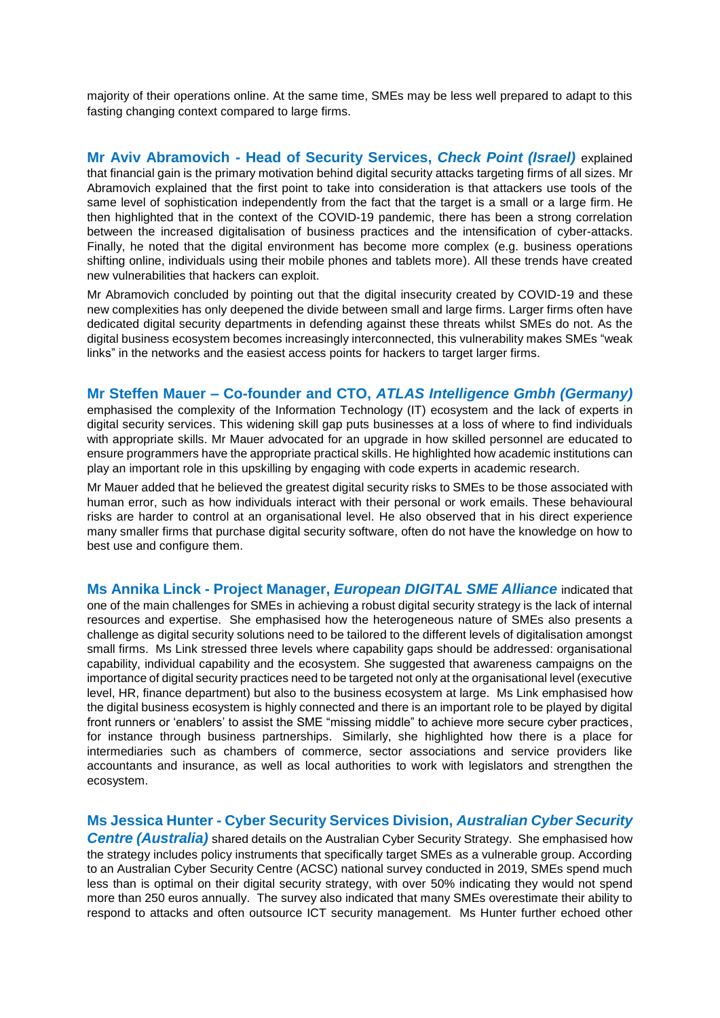majority of their operations online. At the same time, SMEs may be less well prepared to adapt to this fasting changing context compared to large firms.

**Mr Aviv Abramovich - Head of Security Services,** *Check Point (Israel)* explained that financial gain is the primary motivation behind digital security attacks targeting firms of all sizes. Mr Abramovich explained that the first point to take into consideration is that attackers use tools of the same level of sophistication independently from the fact that the target is a small or a large firm. He then highlighted that in the context of the COVID-19 pandemic, there has been a strong correlation between the increased digitalisation of business practices and the intensification of cyber-attacks. Finally, he noted that the digital environment has become more complex (e.g. business operations shifting online, individuals using their mobile phones and tablets more). All these trends have created new vulnerabilities that hackers can exploit.

Mr Abramovich concluded by pointing out that the digital insecurity created by COVID-19 and these new complexities has only deepened the divide between small and large firms. Larger firms often have dedicated digital security departments in defending against these threats whilst SMEs do not. As the digital business ecosystem becomes increasingly interconnected, this vulnerability makes SMEs "weak links" in the networks and the easiest access points for hackers to target larger firms.

#### **Mr Steffen Mauer – Co-founder and CTO,** *ATLAS Intelligence Gmbh (Germany)*

emphasised the complexity of the Information Technology (IT) ecosystem and the lack of experts in digital security services. This widening skill gap puts businesses at a loss of where to find individuals with appropriate skills. Mr Mauer advocated for an upgrade in how skilled personnel are educated to ensure programmers have the appropriate practical skills. He highlighted how academic institutions can play an important role in this upskilling by engaging with code experts in academic research.

Mr Mauer added that he believed the greatest digital security risks to SMEs to be those associated with human error, such as how individuals interact with their personal or work emails. These behavioural risks are harder to control at an organisational level. He also observed that in his direct experience many smaller firms that purchase digital security software, often do not have the knowledge on how to best use and configure them.

**Ms Annika Linck - Project Manager,** *European DIGITAL SME Alliance* indicated that one of the main challenges for SMEs in achieving a robust digital security strategy is the lack of internal resources and expertise. She emphasised how the heterogeneous nature of SMEs also presents a challenge as digital security solutions need to be tailored to the different levels of digitalisation amongst small firms. Ms Link stressed three levels where capability gaps should be addressed: organisational capability, individual capability and the ecosystem. She suggested that awareness campaigns on the importance of digital security practices need to be targeted not only at the organisational level (executive level, HR, finance department) but also to the business ecosystem at large. Ms Link emphasised how the digital business ecosystem is highly connected and there is an important role to be played by digital front runners or 'enablers' to assist the SME "missing middle" to achieve more secure cyber practices, for instance through business partnerships. Similarly, she highlighted how there is a place for intermediaries such as chambers of commerce, sector associations and service providers like accountants and insurance, as well as local authorities to work with legislators and strengthen the ecosystem.

#### **Ms Jessica Hunter - Cyber Security Services Division,** *Australian Cyber Security*

**Centre (Australia)** shared details on the Australian Cyber Security Strategy. She emphasised how the strategy includes policy instruments that specifically target SMEs as a vulnerable group. According to an Australian Cyber Security Centre (ACSC) national survey conducted in 2019, SMEs spend much less than is optimal on their digital security strategy, with over 50% indicating they would not spend more than 250 euros annually. The survey also indicated that many SMEs overestimate their ability to respond to attacks and often outsource ICT security management. Ms Hunter further echoed other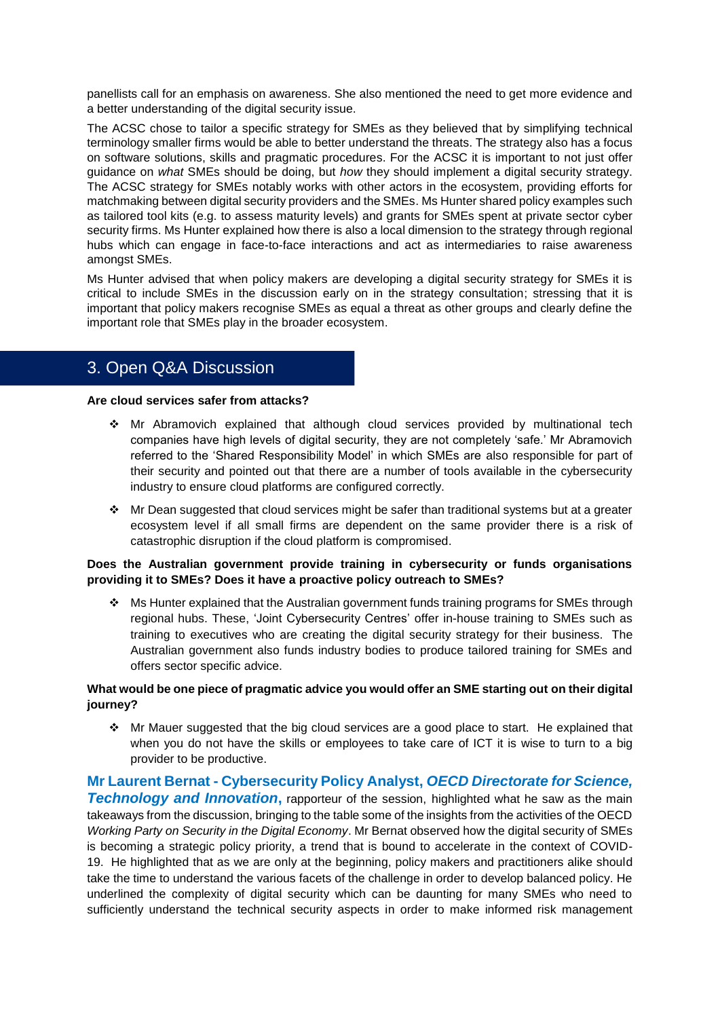panellists call for an emphasis on awareness. She also mentioned the need to get more evidence and a better understanding of the digital security issue.

The ACSC chose to tailor a specific strategy for SMEs as they believed that by simplifying technical terminology smaller firms would be able to better understand the threats. The strategy also has a focus on software solutions, skills and pragmatic procedures. For the ACSC it is important to not just offer guidance on *what* SMEs should be doing, but *how* they should implement a digital security strategy. The ACSC strategy for SMEs notably works with other actors in the ecosystem, providing efforts for matchmaking between digital security providers and the SMEs. Ms Hunter shared policy examples such as tailored tool kits (e.g. to assess maturity levels) and grants for SMEs spent at private sector cyber security firms. Ms Hunter explained how there is also a local dimension to the strategy through regional hubs which can engage in face-to-face interactions and act as intermediaries to raise awareness amongst SMEs.

Ms Hunter advised that when policy makers are developing a digital security strategy for SMEs it is critical to include SMEs in the discussion early on in the strategy consultation; stressing that it is important that policy makers recognise SMEs as equal a threat as other groups and clearly define the important role that SMEs play in the broader ecosystem.

## 3. Open Q&A Discussion

**Are cloud services safer from attacks?**

- Mr Abramovich explained that although cloud services provided by multinational tech companies have high levels of digital security, they are not completely 'safe.' Mr Abramovich referred to the 'Shared Responsibility Model' in which SMEs are also responsible for part of their security and pointed out that there are a number of tools available in the cybersecurity industry to ensure cloud platforms are configured correctly.
- $\cdot \cdot$  Mr Dean suggested that cloud services might be safer than traditional systems but at a greater ecosystem level if all small firms are dependent on the same provider there is a risk of catastrophic disruption if the cloud platform is compromised.

#### **Does the Australian government provide training in cybersecurity or funds organisations providing it to SMEs? Does it have a proactive policy outreach to SMEs?**

❖ Ms Hunter explained that the Australian government funds training programs for SMEs through regional hubs. These, 'Joint Cybersecurity Centres' offer in-house training to SMEs such as training to executives who are creating the digital security strategy for their business. The Australian government also funds industry bodies to produce tailored training for SMEs and offers sector specific advice.

#### **What would be one piece of pragmatic advice you would offer an SME starting out on their digital journey?**

\* Mr Mauer suggested that the big cloud services are a good place to start. He explained that when you do not have the skills or employees to take care of ICT it is wise to turn to a big provider to be productive.

**Mr Laurent Bernat - Cybersecurity Policy Analyst,** *OECD Directorate for Science,*  **Technology and Innovation**, rapporteur of the session, highlighted what he saw as the main takeaways from the discussion, bringing to the table some of the insights from the activities of the OECD *Working Party on Security in the Digital Economy*. Mr Bernat observed how the digital security of SMEs is becoming a strategic policy priority, a trend that is bound to accelerate in the context of COVID-19. He highlighted that as we are only at the beginning, policy makers and practitioners alike should take the time to understand the various facets of the challenge in order to develop balanced policy. He underlined the complexity of digital security which can be daunting for many SMEs who need to sufficiently understand the technical security aspects in order to make informed risk management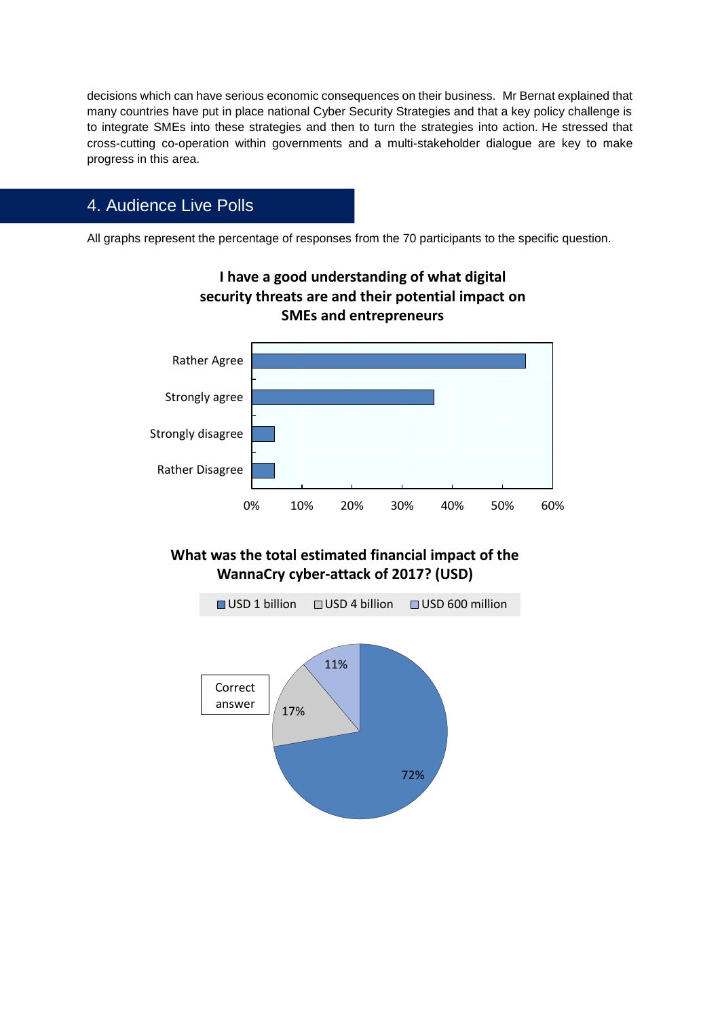decisions which can have serious economic consequences on their business. Mr Bernat explained that many countries have put in place national Cyber Security Strategies and that a key policy challenge is to integrate SMEs into these strategies and then to turn the strategies into action. He stressed that cross-cutting co-operation within governments and a multi-stakeholder dialogue are key to make progress in this area.

## 4. Audience Live Polls

All graphs represent the percentage of responses from the 70 participants to the specific question.



## **I have a good understanding of what digital security threats are and their potential impact on SMEs and entrepreneurs**

### **What was the total estimated financial impact of the WannaCry cyber-attack of 2017? (USD)**

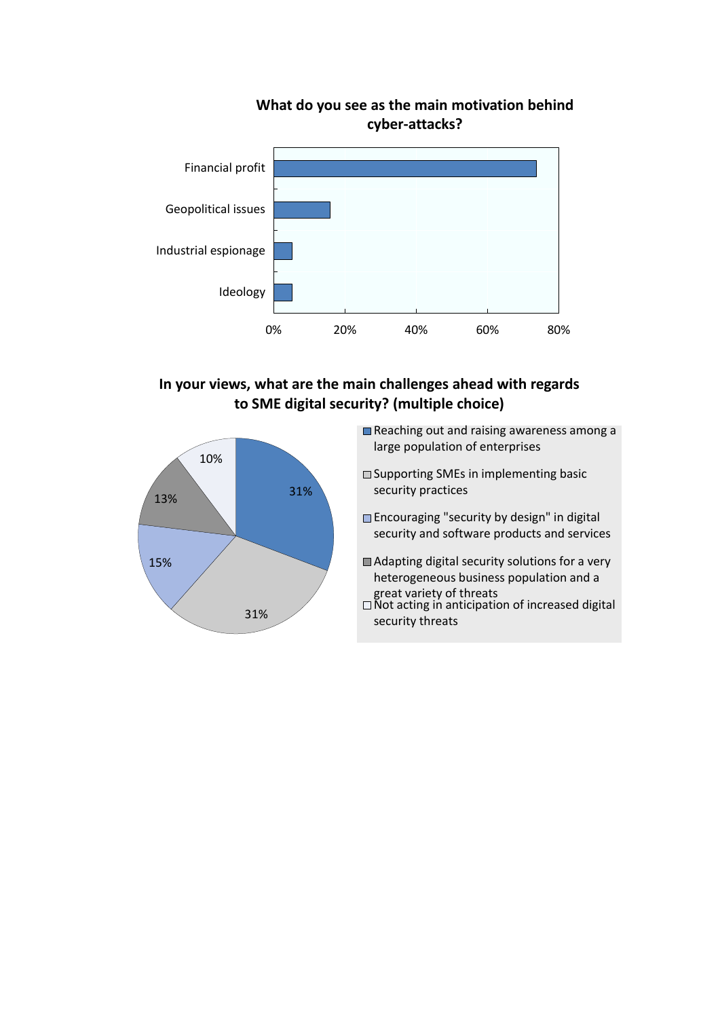

# **What do you see as the main motivation behind**

### **In your views, what are the main challenges ahead with regards to SME digital security? (multiple choice)**



- Reaching out and raising awareness among a large population of enterprises
- □ Supporting SMEs in implementing basic security practices
- **Encouraging "security by design" in digital** security and software products and services
- Adapting digital security solutions for a very heterogeneous business population and a great variety of threats
- Not acting in anticipation of increased digital security threats